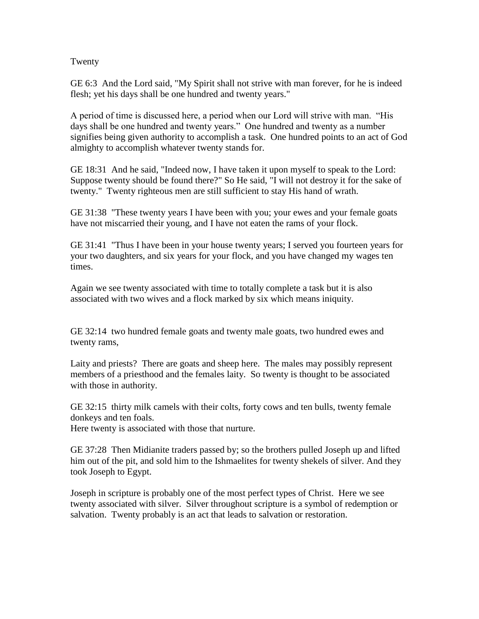## Twenty

GE 6:3 And the Lord said, "My Spirit shall not strive with man forever, for he is indeed flesh; yet his days shall be one hundred and twenty years."

A period of time is discussed here, a period when our Lord will strive with man. "His days shall be one hundred and twenty years." One hundred and twenty as a number signifies being given authority to accomplish a task. One hundred points to an act of God almighty to accomplish whatever twenty stands for.

GE 18:31 And he said, "Indeed now, I have taken it upon myself to speak to the Lord: Suppose twenty should be found there?" So He said, "I will not destroy it for the sake of twenty." Twenty righteous men are still sufficient to stay His hand of wrath.

GE 31:38 "These twenty years I have been with you; your ewes and your female goats have not miscarried their young, and I have not eaten the rams of your flock.

GE 31:41 "Thus I have been in your house twenty years; I served you fourteen years for your two daughters, and six years for your flock, and you have changed my wages ten times.

Again we see twenty associated with time to totally complete a task but it is also associated with two wives and a flock marked by six which means iniquity.

GE 32:14 two hundred female goats and twenty male goats, two hundred ewes and twenty rams,

Laity and priests? There are goats and sheep here. The males may possibly represent members of a priesthood and the females laity. So twenty is thought to be associated with those in authority.

GE 32:15 thirty milk camels with their colts, forty cows and ten bulls, twenty female donkeys and ten foals.

Here twenty is associated with those that nurture.

GE 37:28 Then Midianite traders passed by; so the brothers pulled Joseph up and lifted him out of the pit, and sold him to the Ishmaelites for twenty shekels of silver. And they took Joseph to Egypt.

Joseph in scripture is probably one of the most perfect types of Christ. Here we see twenty associated with silver. Silver throughout scripture is a symbol of redemption or salvation. Twenty probably is an act that leads to salvation or restoration.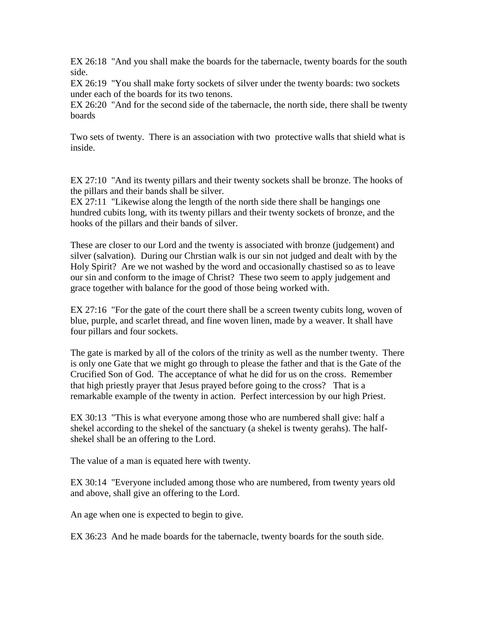EX 26:18 "And you shall make the boards for the tabernacle, twenty boards for the south side.

EX 26:19 "You shall make forty sockets of silver under the twenty boards: two sockets under each of the boards for its two tenons.

EX 26:20 "And for the second side of the tabernacle, the north side, there shall be twenty boards

Two sets of twenty. There is an association with two protective walls that shield what is inside.

EX 27:10 "And its twenty pillars and their twenty sockets shall be bronze. The hooks of the pillars and their bands shall be silver.

EX 27:11 "Likewise along the length of the north side there shall be hangings one hundred cubits long, with its twenty pillars and their twenty sockets of bronze, and the hooks of the pillars and their bands of silver.

These are closer to our Lord and the twenty is associated with bronze (judgement) and silver (salvation). During our Chrstian walk is our sin not judged and dealt with by the Holy Spirit? Are we not washed by the word and occasionally chastised so as to leave our sin and conform to the image of Christ? These two seem to apply judgement and grace together with balance for the good of those being worked with.

EX 27:16 "For the gate of the court there shall be a screen twenty cubits long, woven of blue, purple, and scarlet thread, and fine woven linen, made by a weaver. It shall have four pillars and four sockets.

The gate is marked by all of the colors of the trinity as well as the number twenty. There is only one Gate that we might go through to please the father and that is the Gate of the Crucified Son of God. The acceptance of what he did for us on the cross. Remember that high priestly prayer that Jesus prayed before going to the cross? That is a remarkable example of the twenty in action. Perfect intercession by our high Priest.

EX 30:13 "This is what everyone among those who are numbered shall give: half a shekel according to the shekel of the sanctuary (a shekel is twenty gerahs). The halfshekel shall be an offering to the Lord.

The value of a man is equated here with twenty.

EX 30:14 "Everyone included among those who are numbered, from twenty years old and above, shall give an offering to the Lord.

An age when one is expected to begin to give.

EX 36:23 And he made boards for the tabernacle, twenty boards for the south side.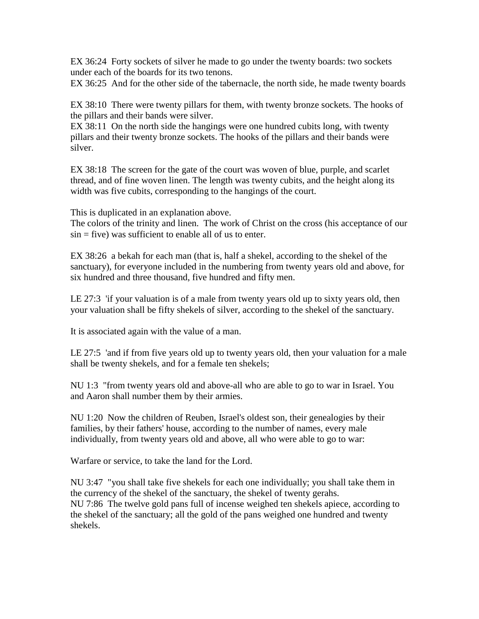EX 36:24 Forty sockets of silver he made to go under the twenty boards: two sockets under each of the boards for its two tenons.

EX 36:25 And for the other side of the tabernacle, the north side, he made twenty boards

EX 38:10 There were twenty pillars for them, with twenty bronze sockets. The hooks of the pillars and their bands were silver.

EX 38:11 On the north side the hangings were one hundred cubits long, with twenty pillars and their twenty bronze sockets. The hooks of the pillars and their bands were silver.

EX 38:18 The screen for the gate of the court was woven of blue, purple, and scarlet thread, and of fine woven linen. The length was twenty cubits, and the height along its width was five cubits, corresponding to the hangings of the court.

This is duplicated in an explanation above.

The colors of the trinity and linen. The work of Christ on the cross (his acceptance of our  $\sin = five$ ) was sufficient to enable all of us to enter.

EX 38:26 a bekah for each man (that is, half a shekel, according to the shekel of the sanctuary), for everyone included in the numbering from twenty years old and above, for six hundred and three thousand, five hundred and fifty men.

LE 27:3 'if your valuation is of a male from twenty years old up to sixty years old, then your valuation shall be fifty shekels of silver, according to the shekel of the sanctuary.

It is associated again with the value of a man.

LE 27:5 'and if from five years old up to twenty years old, then your valuation for a male shall be twenty shekels, and for a female ten shekels;

NU 1:3 "from twenty years old and above-all who are able to go to war in Israel. You and Aaron shall number them by their armies.

NU 1:20 Now the children of Reuben, Israel's oldest son, their genealogies by their families, by their fathers' house, according to the number of names, every male individually, from twenty years old and above, all who were able to go to war:

Warfare or service, to take the land for the Lord.

NU 3:47 "you shall take five shekels for each one individually; you shall take them in the currency of the shekel of the sanctuary, the shekel of twenty gerahs. NU 7:86 The twelve gold pans full of incense weighed ten shekels apiece, according to the shekel of the sanctuary; all the gold of the pans weighed one hundred and twenty shekels.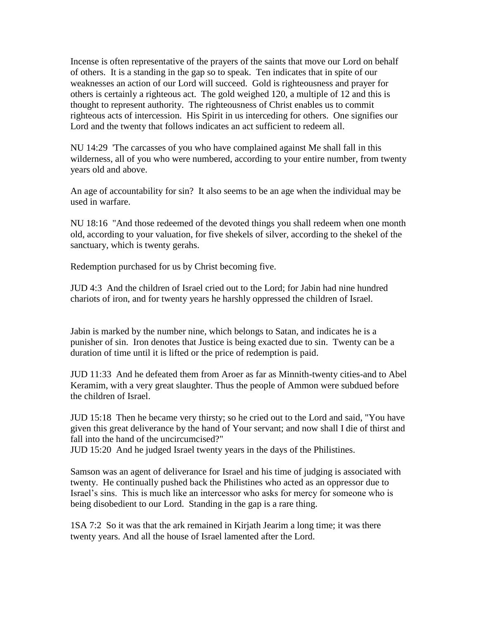Incense is often representative of the prayers of the saints that move our Lord on behalf of others. It is a standing in the gap so to speak. Ten indicates that in spite of our weaknesses an action of our Lord will succeed. Gold is righteousness and prayer for others is certainly a righteous act. The gold weighed 120, a multiple of 12 and this is thought to represent authority. The righteousness of Christ enables us to commit righteous acts of intercession. His Spirit in us interceding for others. One signifies our Lord and the twenty that follows indicates an act sufficient to redeem all.

NU 14:29 'The carcasses of you who have complained against Me shall fall in this wilderness, all of you who were numbered, according to your entire number, from twenty years old and above.

An age of accountability for sin? It also seems to be an age when the individual may be used in warfare.

NU 18:16 "And those redeemed of the devoted things you shall redeem when one month old, according to your valuation, for five shekels of silver, according to the shekel of the sanctuary, which is twenty gerahs.

Redemption purchased for us by Christ becoming five.

JUD 4:3 And the children of Israel cried out to the Lord; for Jabin had nine hundred chariots of iron, and for twenty years he harshly oppressed the children of Israel.

Jabin is marked by the number nine, which belongs to Satan, and indicates he is a punisher of sin. Iron denotes that Justice is being exacted due to sin. Twenty can be a duration of time until it is lifted or the price of redemption is paid.

JUD 11:33 And he defeated them from Aroer as far as Minnith-twenty cities-and to Abel Keramim, with a very great slaughter. Thus the people of Ammon were subdued before the children of Israel.

JUD 15:18 Then he became very thirsty; so he cried out to the Lord and said, "You have given this great deliverance by the hand of Your servant; and now shall I die of thirst and fall into the hand of the uncircumcised?"

JUD 15:20 And he judged Israel twenty years in the days of the Philistines.

Samson was an agent of deliverance for Israel and his time of judging is associated with twenty. He continually pushed back the Philistines who acted as an oppressor due to Israel's sins. This is much like an intercessor who asks for mercy for someone who is being disobedient to our Lord. Standing in the gap is a rare thing.

1SA 7:2 So it was that the ark remained in Kirjath Jearim a long time; it was there twenty years. And all the house of Israel lamented after the Lord.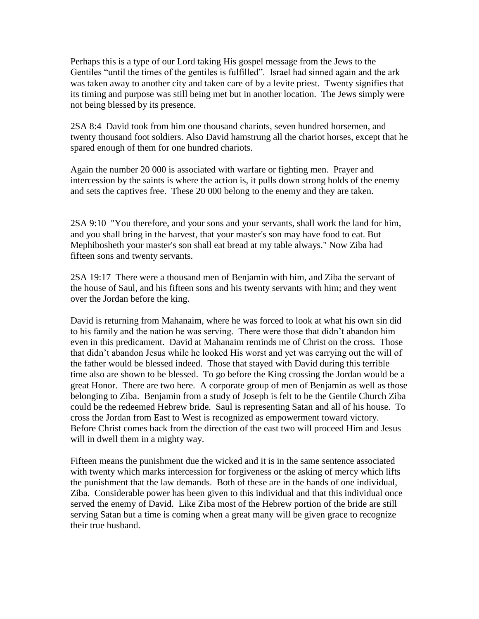Perhaps this is a type of our Lord taking His gospel message from the Jews to the Gentiles "until the times of the gentiles is fulfilled". Israel had sinned again and the ark was taken away to another city and taken care of by a levite priest. Twenty signifies that its timing and purpose was still being met but in another location. The Jews simply were not being blessed by its presence.

2SA 8:4 David took from him one thousand chariots, seven hundred horsemen, and twenty thousand foot soldiers. Also David hamstrung all the chariot horses, except that he spared enough of them for one hundred chariots.

Again the number 20 000 is associated with warfare or fighting men. Prayer and intercession by the saints is where the action is, it pulls down strong holds of the enemy and sets the captives free. These 20 000 belong to the enemy and they are taken.

2SA 9:10 "You therefore, and your sons and your servants, shall work the land for him, and you shall bring in the harvest, that your master's son may have food to eat. But Mephibosheth your master's son shall eat bread at my table always." Now Ziba had fifteen sons and twenty servants.

2SA 19:17 There were a thousand men of Benjamin with him, and Ziba the servant of the house of Saul, and his fifteen sons and his twenty servants with him; and they went over the Jordan before the king.

David is returning from Mahanaim, where he was forced to look at what his own sin did to his family and the nation he was serving. There were those that didn't abandon him even in this predicament. David at Mahanaim reminds me of Christ on the cross. Those that didn't abandon Jesus while he looked His worst and yet was carrying out the will of the father would be blessed indeed. Those that stayed with David during this terrible time also are shown to be blessed. To go before the King crossing the Jordan would be a great Honor. There are two here. A corporate group of men of Benjamin as well as those belonging to Ziba. Benjamin from a study of Joseph is felt to be the Gentile Church Ziba could be the redeemed Hebrew bride. Saul is representing Satan and all of his house. To cross the Jordan from East to West is recognized as empowerment toward victory. Before Christ comes back from the direction of the east two will proceed Him and Jesus will in dwell them in a mighty way.

Fifteen means the punishment due the wicked and it is in the same sentence associated with twenty which marks intercession for forgiveness or the asking of mercy which lifts the punishment that the law demands. Both of these are in the hands of one individual, Ziba. Considerable power has been given to this individual and that this individual once served the enemy of David. Like Ziba most of the Hebrew portion of the bride are still serving Satan but a time is coming when a great many will be given grace to recognize their true husband.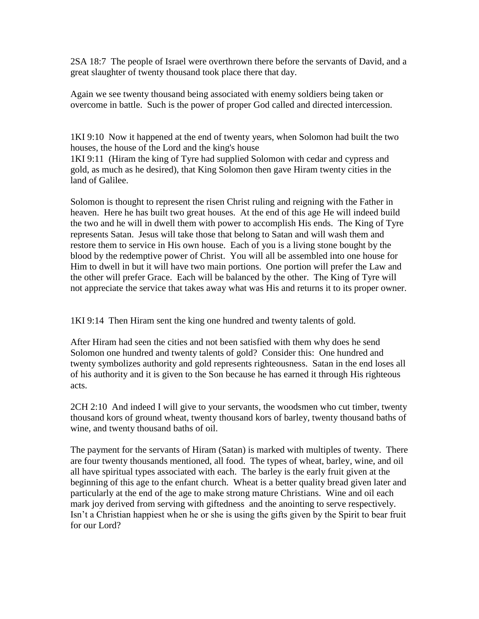2SA 18:7 The people of Israel were overthrown there before the servants of David, and a great slaughter of twenty thousand took place there that day.

Again we see twenty thousand being associated with enemy soldiers being taken or overcome in battle. Such is the power of proper God called and directed intercession.

1KI 9:10 Now it happened at the end of twenty years, when Solomon had built the two houses, the house of the Lord and the king's house

1KI 9:11 (Hiram the king of Tyre had supplied Solomon with cedar and cypress and gold, as much as he desired), that King Solomon then gave Hiram twenty cities in the land of Galilee.

Solomon is thought to represent the risen Christ ruling and reigning with the Father in heaven. Here he has built two great houses. At the end of this age He will indeed build the two and he will in dwell them with power to accomplish His ends. The King of Tyre represents Satan. Jesus will take those that belong to Satan and will wash them and restore them to service in His own house. Each of you is a living stone bought by the blood by the redemptive power of Christ. You will all be assembled into one house for Him to dwell in but it will have two main portions. One portion will prefer the Law and the other will prefer Grace. Each will be balanced by the other. The King of Tyre will not appreciate the service that takes away what was His and returns it to its proper owner.

1KI 9:14 Then Hiram sent the king one hundred and twenty talents of gold.

After Hiram had seen the cities and not been satisfied with them why does he send Solomon one hundred and twenty talents of gold? Consider this: One hundred and twenty symbolizes authority and gold represents righteousness. Satan in the end loses all of his authority and it is given to the Son because he has earned it through His righteous acts.

2CH 2:10 And indeed I will give to your servants, the woodsmen who cut timber, twenty thousand kors of ground wheat, twenty thousand kors of barley, twenty thousand baths of wine, and twenty thousand baths of oil.

The payment for the servants of Hiram (Satan) is marked with multiples of twenty. There are four twenty thousands mentioned, all food. The types of wheat, barley, wine, and oil all have spiritual types associated with each. The barley is the early fruit given at the beginning of this age to the enfant church. Wheat is a better quality bread given later and particularly at the end of the age to make strong mature Christians. Wine and oil each mark joy derived from serving with giftedness and the anointing to serve respectively. Isn't a Christian happiest when he or she is using the gifts given by the Spirit to bear fruit for our Lord?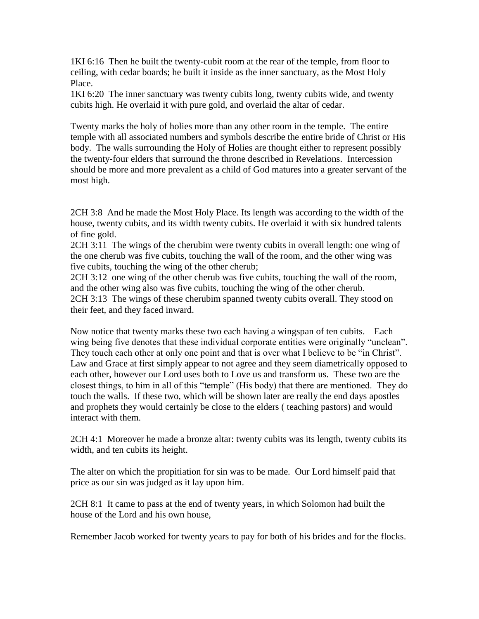1KI 6:16 Then he built the twenty-cubit room at the rear of the temple, from floor to ceiling, with cedar boards; he built it inside as the inner sanctuary, as the Most Holy Place.

1KI 6:20 The inner sanctuary was twenty cubits long, twenty cubits wide, and twenty cubits high. He overlaid it with pure gold, and overlaid the altar of cedar.

Twenty marks the holy of holies more than any other room in the temple. The entire temple with all associated numbers and symbols describe the entire bride of Christ or His body. The walls surrounding the Holy of Holies are thought either to represent possibly the twenty-four elders that surround the throne described in Revelations. Intercession should be more and more prevalent as a child of God matures into a greater servant of the most high.

2CH 3:8 And he made the Most Holy Place. Its length was according to the width of the house, twenty cubits, and its width twenty cubits. He overlaid it with six hundred talents of fine gold.

2CH 3:11 The wings of the cherubim were twenty cubits in overall length: one wing of the one cherub was five cubits, touching the wall of the room, and the other wing was five cubits, touching the wing of the other cherub;

2CH 3:12 one wing of the other cherub was five cubits, touching the wall of the room, and the other wing also was five cubits, touching the wing of the other cherub. 2CH 3:13 The wings of these cherubim spanned twenty cubits overall. They stood on their feet, and they faced inward.

Now notice that twenty marks these two each having a wingspan of ten cubits. Each wing being five denotes that these individual corporate entities were originally "unclean". They touch each other at only one point and that is over what I believe to be "in Christ". Law and Grace at first simply appear to not agree and they seem diametrically opposed to each other, however our Lord uses both to Love us and transform us. These two are the closest things, to him in all of this "temple" (His body) that there are mentioned. They do touch the walls. If these two, which will be shown later are really the end days apostles and prophets they would certainly be close to the elders ( teaching pastors) and would interact with them.

2CH 4:1 Moreover he made a bronze altar: twenty cubits was its length, twenty cubits its width, and ten cubits its height.

The alter on which the propitiation for sin was to be made. Our Lord himself paid that price as our sin was judged as it lay upon him.

2CH 8:1 It came to pass at the end of twenty years, in which Solomon had built the house of the Lord and his own house,

Remember Jacob worked for twenty years to pay for both of his brides and for the flocks.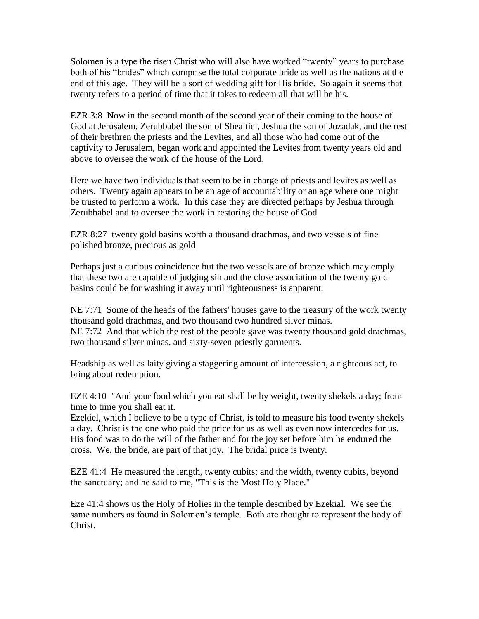Solomen is a type the risen Christ who will also have worked "twenty" years to purchase both of his "brides" which comprise the total corporate bride as well as the nations at the end of this age. They will be a sort of wedding gift for His bride. So again it seems that twenty refers to a period of time that it takes to redeem all that will be his.

EZR 3:8 Now in the second month of the second year of their coming to the house of God at Jerusalem, Zerubbabel the son of Shealtiel, Jeshua the son of Jozadak, and the rest of their brethren the priests and the Levites, and all those who had come out of the captivity to Jerusalem, began work and appointed the Levites from twenty years old and above to oversee the work of the house of the Lord.

Here we have two individuals that seem to be in charge of priests and levites as well as others. Twenty again appears to be an age of accountability or an age where one might be trusted to perform a work. In this case they are directed perhaps by Jeshua through Zerubbabel and to oversee the work in restoring the house of God

EZR 8:27 twenty gold basins worth a thousand drachmas, and two vessels of fine polished bronze, precious as gold

Perhaps just a curious coincidence but the two vessels are of bronze which may emply that these two are capable of judging sin and the close association of the twenty gold basins could be for washing it away until righteousness is apparent.

NE 7:71 Some of the heads of the fathers' houses gave to the treasury of the work twenty thousand gold drachmas, and two thousand two hundred silver minas. NE 7:72 And that which the rest of the people gave was twenty thousand gold drachmas, two thousand silver minas, and sixty-seven priestly garments.

Headship as well as laity giving a staggering amount of intercession, a righteous act, to bring about redemption.

EZE 4:10 "And your food which you eat shall be by weight, twenty shekels a day; from time to time you shall eat it.

Ezekiel, which I believe to be a type of Christ, is told to measure his food twenty shekels a day. Christ is the one who paid the price for us as well as even now intercedes for us. His food was to do the will of the father and for the joy set before him he endured the cross. We, the bride, are part of that joy. The bridal price is twenty.

EZE 41:4 He measured the length, twenty cubits; and the width, twenty cubits, beyond the sanctuary; and he said to me, "This is the Most Holy Place."

Eze 41:4 shows us the Holy of Holies in the temple described by Ezekial. We see the same numbers as found in Solomon's temple. Both are thought to represent the body of Christ.